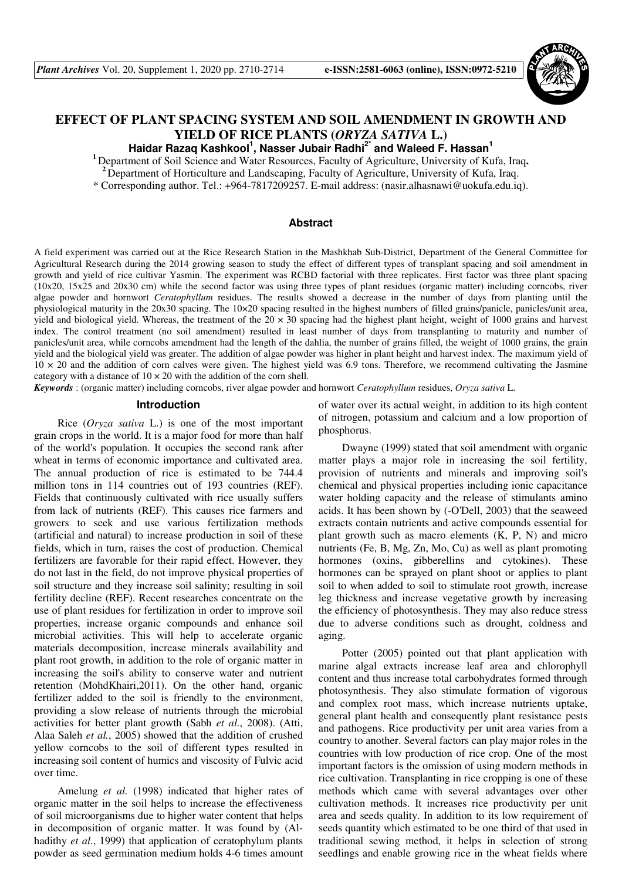

# **EFFECT OF PLANT SPACING SYSTEM AND SOIL AMENDMENT IN GROWTH AND YIELD OF RICE PLANTS (***ORYZA SATIVA* **L.)**

**Haidar Razaq Kashkool<sup>1</sup> , Nasser Jubair Radhi2\* and Waleed F. Hassan<sup>1</sup>**

<sup>1</sup> Department of Soil Science and Water Resources, Faculty of Agriculture, University of Kufa, Iraq.

**<sup>2</sup>**Department of Horticulture and Landscaping, Faculty of Agriculture, University of Kufa, Iraq. \* Corresponding author. Tel.: +964-7817209257. E-mail address: (nasir.alhasnawi@uokufa.edu.iq).

## **Abstract**

A field experiment was carried out at the Rice Research Station in the Mashkhab Sub-District, Department of the General Committee for Agricultural Research during the 2014 growing season to study the effect of different types of transplant spacing and soil amendment in growth and yield of rice cultivar Yasmin. The experiment was RCBD factorial with three replicates. First factor was three plant spacing (10x20, 15x25 and 20x30 cm) while the second factor was using three types of plant residues (organic matter) including corncobs, river algae powder and hornwort *Ceratophyllum* residues. The results showed a decrease in the number of days from planting until the physiological maturity in the 20x30 spacing. The 10×20 spacing resulted in the highest numbers of filled grains/panicle, panicles/unit area, yield and biological yield. Whereas, the treatment of the  $20 \times 30$  spacing had the highest plant height, weight of 1000 grains and harvest index. The control treatment (no soil amendment) resulted in least number of days from transplanting to maturity and number of panicles/unit area, while corncobs amendment had the length of the dahlia, the number of grains filled, the weight of 1000 grains, the grain yield and the biological yield was greater. The addition of algae powder was higher in plant height and harvest index. The maximum yield of  $10 \times 20$  and the addition of corn calves were given. The highest yield was 6.9 tons. Therefore, we recommend cultivating the Jasmine category with a distance of  $10 \times 20$  with the addition of the corn shell.

*Keywords* : (organic matter) including corncobs, river algae powder and hornwort *Ceratophyllum* residues, *Oryza sativa* L.

## **Introduction**

Rice (*Oryza sativa* L.) is one of the most important grain crops in the world. It is a major food for more than half of the world's population. It occupies the second rank after wheat in terms of economic importance and cultivated area. The annual production of rice is estimated to be 744.4 million tons in 114 countries out of 193 countries (REF). Fields that continuously cultivated with rice usually suffers from lack of nutrients (REF). This causes rice farmers and growers to seek and use various fertilization methods (artificial and natural) to increase production in soil of these fields, which in turn, raises the cost of production. Chemical fertilizers are favorable for their rapid effect. However, they do not last in the field, do not improve physical properties of soil structure and they increase soil salinity; resulting in soil fertility decline (REF). Recent researches concentrate on the use of plant residues for fertilization in order to improve soil properties, increase organic compounds and enhance soil microbial activities. This will help to accelerate organic materials decomposition, increase minerals availability and plant root growth, in addition to the role of organic matter in increasing the soil's ability to conserve water and nutrient retention (MohdKhairi,2011). On the other hand, organic fertilizer added to the soil is friendly to the environment, providing a slow release of nutrients through the microbial activities for better plant growth (Sabh *et al.*, 2008). (Atti, Alaa Saleh *et al.*, 2005) showed that the addition of crushed yellow corncobs to the soil of different types resulted in increasing soil content of humics and viscosity of Fulvic acid over time.

Amelung *et al.* (1998) indicated that higher rates of organic matter in the soil helps to increase the effectiveness of soil microorganisms due to higher water content that helps in decomposition of organic matter. It was found by (Alhadithy *et al.*, 1999) that application of ceratophylum plants powder as seed germination medium holds 4-6 times amount

of water over its actual weight, in addition to its high content of nitrogen, potassium and calcium and a low proportion of phosphorus.

Dwayne (1999) stated that soil amendment with organic matter plays a major role in increasing the soil fertility, provision of nutrients and minerals and improving soil's chemical and physical properties including ionic capacitance water holding capacity and the release of stimulants amino acids. It has been shown by (-O'Dell, 2003) that the seaweed extracts contain nutrients and active compounds essential for plant growth such as macro elements (K, P, N) and micro nutrients (Fe, B, Mg, Zn, Mo, Cu) as well as plant promoting hormones (oxins, gibberellins and cytokines). These hormones can be sprayed on plant shoot or applies to plant soil to when added to soil to stimulate root growth, increase leg thickness and increase vegetative growth by increasing the efficiency of photosynthesis. They may also reduce stress due to adverse conditions such as drought, coldness and aging.

Potter (2005) pointed out that plant application with marine algal extracts increase leaf area and chlorophyll content and thus increase total carbohydrates formed through photosynthesis. They also stimulate formation of vigorous and complex root mass, which increase nutrients uptake, general plant health and consequently plant resistance pests and pathogens. Rice productivity per unit area varies from a country to another. Several factors can play major roles in the countries with low production of rice crop. One of the most important factors is the omission of using modern methods in rice cultivation. Transplanting in rice cropping is one of these methods which came with several advantages over other cultivation methods. It increases rice productivity per unit area and seeds quality. In addition to its low requirement of seeds quantity which estimated to be one third of that used in traditional sewing method, it helps in selection of strong seedlings and enable growing rice in the wheat fields where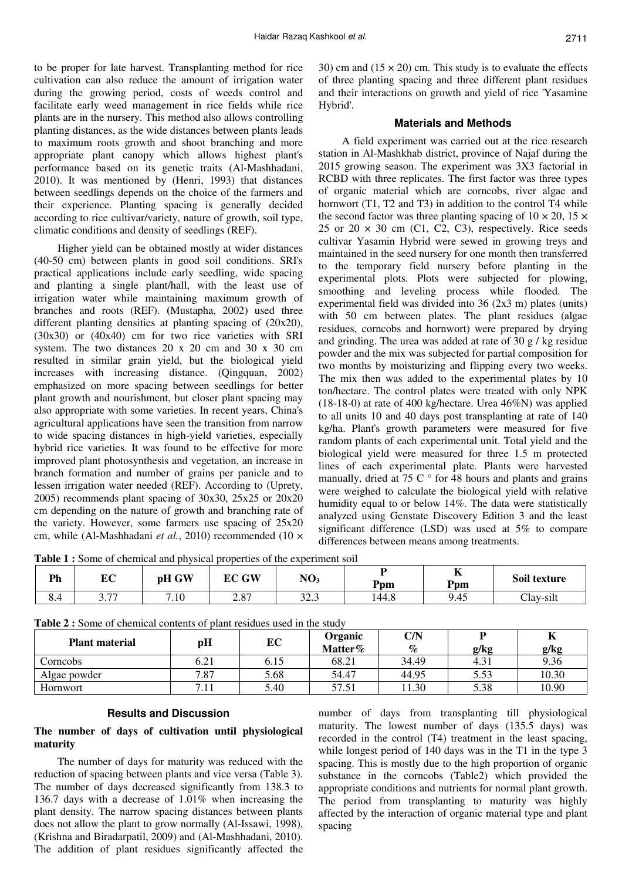to be proper for late harvest. Transplanting method for rice cultivation can also reduce the amount of irrigation water during the growing period, costs of weeds control and facilitate early weed management in rice fields while rice plants are in the nursery. This method also allows controlling planting distances, as the wide distances between plants leads to maximum roots growth and shoot branching and more appropriate plant canopy which allows highest plant's performance based on its genetic traits (Al-Mashhadani, 2010). It was mentioned by (Henri, 1993) that distances between seedlings depends on the choice of the farmers and their experience. Planting spacing is generally decided according to rice cultivar/variety, nature of growth, soil type, climatic conditions and density of seedlings (REF).

Higher yield can be obtained mostly at wider distances (40-50 cm) between plants in good soil conditions. SRI's practical applications include early seedling, wide spacing and planting a single plant/hall, with the least use of irrigation water while maintaining maximum growth of branches and roots (REF). **(**Mustapha, 2002) used three different planting densities at planting spacing of (20x20), (30x30) or (40x40) cm for two rice varieties with SRI system. The two distances 20 x 20 cm and 30 x 30 cm resulted in similar grain yield, but the biological yield increases with increasing distance. (Qingquan, 2002) emphasized on more spacing between seedlings for better plant growth and nourishment, but closer plant spacing may also appropriate with some varieties. In recent years, China's agricultural applications have seen the transition from narrow to wide spacing distances in high-yield varieties, especially hybrid rice varieties. It was found to be effective for more improved plant photosynthesis and vegetation, an increase in branch formation and number of grains per panicle and to lessen irrigation water needed (REF). According to (Uprety, 2005) recommends plant spacing of 30x30, 25x25 or 20x20 cm depending on the nature of growth and branching rate of the variety. However, some farmers use spacing of 25x20 cm, while (Al-Mashhadani *et al.*, 2010) recommended (10 × 30) cm and  $(15 \times 20)$  cm. This study is to evaluate the effects of three planting spacing and three different plant residues and their interactions on growth and yield of rice 'Yasamine Hybrid'.

### **Materials and Methods**

A field experiment was carried out at the rice research station in Al-Mashkhab district, province of Najaf during the 2015 growing season. The experiment was 3X3 factorial in RCBD with three replicates. The first factor was three types of organic material which are corncobs, river algae and hornwort (T1, T2 and T3) in addition to the control T4 while the second factor was three planting spacing of  $10 \times 20$ ,  $15 \times$ 25 or 20  $\times$  30 cm (C1, C2, C3), respectively. Rice seeds cultivar Yasamin Hybrid were sewed in growing treys and maintained in the seed nursery for one month then transferred to the temporary field nursery before planting in the experimental plots. Plots were subjected for plowing, smoothing and leveling process while flooded. The experimental field was divided into 36 (2x3 m) plates (units) with 50 cm between plates. The plant residues (algae residues, corncobs and hornwort) were prepared by drying and grinding. The urea was added at rate of 30 g / kg residue powder and the mix was subjected for partial composition for two months by moisturizing and flipping every two weeks. The mix then was added to the experimental plates by 10 ton/hectare. The control plates were treated with only NPK (18-18-0) at rate of 400 kg/hectare. Urea 46%N) was applied to all units 10 and 40 days post transplanting at rate of 140 kg/ha. Plant's growth parameters were measured for five random plants of each experimental unit. Total yield and the biological yield were measured for three 1.5 m protected lines of each experimental plate. Plants were harvested manually, dried at 75 C $\degree$  for 48 hours and plants and grains were weighed to calculate the biological yield with relative humidity equal to or below 14%. The data were statistically analyzed using Genstate Discovery Edition 3 and the least significant difference (LSD) was used at 5% to compare differences between means among treatments.

**Table 1 :** Some of chemical and physical properties of the experiment soil

| $\mathbf{p}$<br>. . | nа<br>ப்                   | pH GW | <b>GW</b><br>nл<br>ĿU | NO <sub>3</sub>        | Ppm   | $-$<br>л,<br>Ppm | Soil texture |  |
|---------------------|----------------------------|-------|-----------------------|------------------------|-------|------------------|--------------|--|
| $\sim$<br>v<br>י-.ט | . 77<br>$\cup \cdot \cdot$ | 7.10  | 2.87                  | $\sim$<br>$\sim$<br>ر… | 144.8 | 9.45             | Clay-silt    |  |

| <b>Plant material</b> | pH   | EС   | Organic<br>Matter% | C/N<br>$\%$ | g/kg | g/kg  |
|-----------------------|------|------|--------------------|-------------|------|-------|
| Corncobs              | 6.21 | 6.15 | 68.21              | 34.49       | 4.31 | 9.36  |
| Algae powder          | 7.87 | 5.68 | 54.47              | 44.95       | 5.53 | 10.30 |
| Hornwort              |      | 5.40 | 57.51              | 11.30       | 5.38 | 10.90 |

**Table 2 :** Some of chemical contents of plant residues used in the study

## **Results and Discussion**

## **The number of days of cultivation until physiological maturity**

The number of days for maturity was reduced with the reduction of spacing between plants and vice versa (Table 3). The number of days decreased significantly from 138.3 to 136.7 days with a decrease of 1.01% when increasing the plant density. The narrow spacing distances between plants does not allow the plant to grow normally (Al-Issawi, 1998), (Krishna and Biradarpatil, 2009) and (Al-Mashhadani, 2010). The addition of plant residues significantly affected the number of days from transplanting till physiological maturity. The lowest number of days (135.5 days) was recorded in the control (T4) treatment in the least spacing, while longest period of 140 days was in the T1 in the type 3 spacing. This is mostly due to the high proportion of organic substance in the corncobs (Table2) which provided the appropriate conditions and nutrients for normal plant growth. The period from transplanting to maturity was highly affected by the interaction of organic material type and plant spacing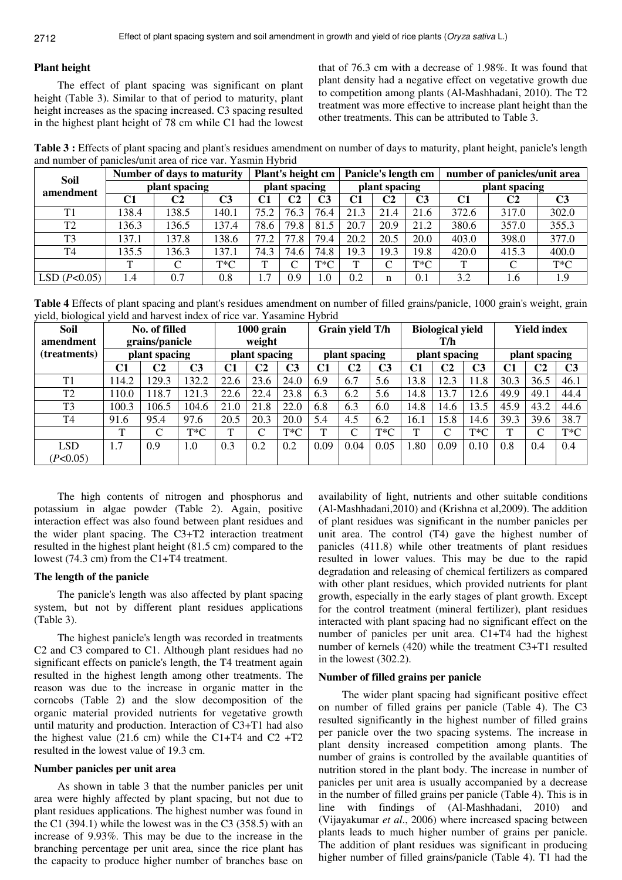#### **Plant height**

The effect of plant spacing was significant on plant height (Table 3). Similar to that of period to maturity, plant height increases as the spacing increased. C3 spacing resulted in the highest plant height of 78 cm while C1 had the lowest that of 76.3 cm with a decrease of 1.98%. It was found that plant density had a negative effect on vegetative growth due to competition among plants (Al-Mashhadani, 2010). The T2 treatment was more effective to increase plant height than the other treatments. This can be attributed to Table 3.

Table 3 : Effects of plant spacing and plant's residues amendment on number of days to maturity, plant height, panicle's length and number of panicles/unit area of rice var. Yasmin Hybrid

| <b>Soil</b>    | Number of days to maturity | Plant's height cm |                |               |                | Panicle's length cm |               | number of panicles/unit area |                |               |                |        |  |
|----------------|----------------------------|-------------------|----------------|---------------|----------------|---------------------|---------------|------------------------------|----------------|---------------|----------------|--------|--|
| amendment      |                            | plant spacing     |                | plant spacing |                |                     | plant spacing |                              |                | plant spacing |                |        |  |
|                | C1                         | C2                | C <sub>3</sub> | C1            | C <sub>2</sub> | C <sub>3</sub>      | C1            | C2                           | C <sub>3</sub> | C1            | C <sub>2</sub> | C3     |  |
| T <sub>1</sub> | 138.4                      | 138.5             | 140.1          | 75.2          | 76.3           | 76.4                | 21.3          | 21.4                         | 21.6           | 372.6         | 317.0          | 302.0  |  |
| T <sub>2</sub> | 136.3                      | 136.5             | 137.4          | 78.6          | 79.8           | 81.5                | 20.7          | 20.9                         | 21.2           | 380.6         | 357.0          | 355.3  |  |
| T <sub>3</sub> | 137.1                      | 137.8             | 138.6          | 77.2          | 77.8           | 79.4                | 20.2          | 20.5                         | 20.0           | 403.0         | 398.0          | 377.0  |  |
| T <sub>4</sub> | 135.5                      | 136.3             | 137.1          | 74.3          | 74.6           | 74.8                | 19.3          | 19.3                         | 19.8           | 420.0         | 415.3          | 400.0  |  |
|                | $\mathbf{r}$               | $\sqrt{ }$        | $T^*C$         | ᠇᠇            | ⌒              | $T^*C$              | $\mathbf{T}$  | $\sim$<br>◡                  | $T^*C$         | T             | C              | $T^*C$ |  |
| LSD $(P<0.05)$ | 1.4                        | 0.7               | 0.8            | 1.7           | 0.9            | 1.0                 | 0.2           | n                            | 0.1            | 3.2           | 1.6            | 1.9    |  |

**Table 4** Effects of plant spacing and plant's residues amendment on number of filled grains/panicle, 1000 grain's weight, grain yield, biological yield and harvest index of rice var. Yasamine Hybrid

| <b>Soil</b><br>amendment | No. of filled<br>grains/panicle<br>plant spacing |       |        | 1000 grain<br>weight<br>plant spacing |                |        | Grain yield T/h<br>plant spacing |                    |        | <b>Biological yield</b><br>T/h<br>plant spacing |                |        | <b>Yield index</b><br>plant spacing |                |        |
|--------------------------|--------------------------------------------------|-------|--------|---------------------------------------|----------------|--------|----------------------------------|--------------------|--------|-------------------------------------------------|----------------|--------|-------------------------------------|----------------|--------|
| (treatments)             |                                                  |       |        |                                       |                |        |                                  |                    |        |                                                 |                |        |                                     |                |        |
|                          | C2<br>C <sub>3</sub><br>C1                       |       | C1     | C <sub>2</sub>                        | C <sub>3</sub> | C1     | C2                               | C3                 | C1     | C2                                              | C <sub>3</sub> | C1     | C2                                  | C <sub>3</sub> |        |
| T1                       | 14.2                                             | 129.3 | 132.2  | 22.6                                  | 23.6           | 24.0   | 6.9                              | 6.7                | 5.6    | 13.8                                            | 12.3           | 11.8   | 30.3                                | 36.5           | 46.1   |
| T <sub>2</sub>           | 110.0                                            | 118.7 | 121.3  | 22.6                                  | 22.4           | 23.8   | 6.3                              | 6.2                | 5.6    | 14.8                                            | 13.7           | 12.6   | 49.9                                | 49.1           | 44.4   |
| T <sub>3</sub>           | 100.3                                            | 106.5 | 104.6  | 21.0                                  | 21.8           | 22.0   | 6.8                              | 6.3                | 6.0    | 14.8                                            | 14.6           | 13.5   | 45.9                                | 43.2           | 44.6   |
| T <sub>4</sub>           | 91.6                                             | 95.4  | 97.6   | 20.5                                  | 20.3           | 20.0   | 5.4                              | 4.5                | 6.2    | 16.1                                            | 15.8           | 14.6   | 39.3                                | 39.6           | 38.7   |
|                          | $\mathbf{T}$                                     | ⌒     | $T^*C$ | T                                     | ⌒              | $T^*C$ | ᠇᠇                               | $\curvearrowright$ | $T^*C$ | $\mathbf{T}$                                    | ⌒              | $T^*C$ | T                                   | $\mathsf{C}$   | $T^*C$ |
| <b>LSD</b>               | 1.7                                              | 0.9   | 1.0    | 0.3                                   | 0.2            | 0.2    | 0.09                             | 0.04               | 0.05   | .80                                             | 0.09           | 0.10   | 0.8                                 | 0.4            | 0.4    |
| (P<0.05)                 |                                                  |       |        |                                       |                |        |                                  |                    |        |                                                 |                |        |                                     |                |        |

The high contents of nitrogen and phosphorus and potassium in algae powder (Table 2). Again, positive interaction effect was also found between plant residues and the wider plant spacing. The C3+T2 interaction treatment resulted in the highest plant height (81.5 cm) compared to the lowest (74.3 cm) from the C1+T4 treatment.

## **The length of the panicle**

The panicle's length was also affected by plant spacing system, but not by different plant residues applications (Table 3).

The highest panicle's length was recorded in treatments C2 and C3 compared to C1. Although plant residues had no significant effects on panicle's length, the T4 treatment again resulted in the highest length among other treatments. The reason was due to the increase in organic matter in the corncobs (Table 2) and the slow decomposition of the organic material provided nutrients for vegetative growth until maturity and production. Interaction of C3+T1 had also the highest value  $(21.6 \text{ cm})$  while the C1+T4 and C2 +T2 resulted in the lowest value of 19.3 cm.

#### **Number panicles per unit area**

As shown in table 3 that the number panicles per unit area were highly affected by plant spacing, but not due to plant residues applications. The highest number was found in the C1 (394.1) while the lowest was in the C3 (358.5) with an increase of 9.93%. This may be due to the increase in the branching percentage per unit area, since the rice plant has the capacity to produce higher number of branches base on

availability of light, nutrients and other suitable conditions (Al-Mashhadani,2010) and (Krishna et al,2009). The addition of plant residues was significant in the number panicles per unit area. The control (T4) gave the highest number of panicles (411.8) while other treatments of plant residues resulted in lower values. This may be due to the rapid degradation and releasing of chemical fertilizers as compared with other plant residues, which provided nutrients for plant growth, especially in the early stages of plant growth. Except for the control treatment (mineral fertilizer), plant residues interacted with plant spacing had no significant effect on the number of panicles per unit area. C1+T4 had the highest number of kernels (420) while the treatment C3+T1 resulted in the lowest (302.2).

#### **Number of filled grains per panicle**

The wider plant spacing had significant positive effect on number of filled grains per panicle (Table 4). The C3 resulted significantly in the highest number of filled grains per panicle over the two spacing systems. The increase in plant density increased competition among plants. The number of grains is controlled by the available quantities of nutrition stored in the plant body. The increase in number of panicles per unit area is usually accompanied by a decrease in the number of filled grains per panicle (Table 4). This is in line with findings of (Al-Mashhadani, 2010) and (Vijayakumar *et al*., 2006) where increased spacing between plants leads to much higher number of grains per panicle. The addition of plant residues was significant in producing higher number of filled grains/panicle (Table 4). T1 had the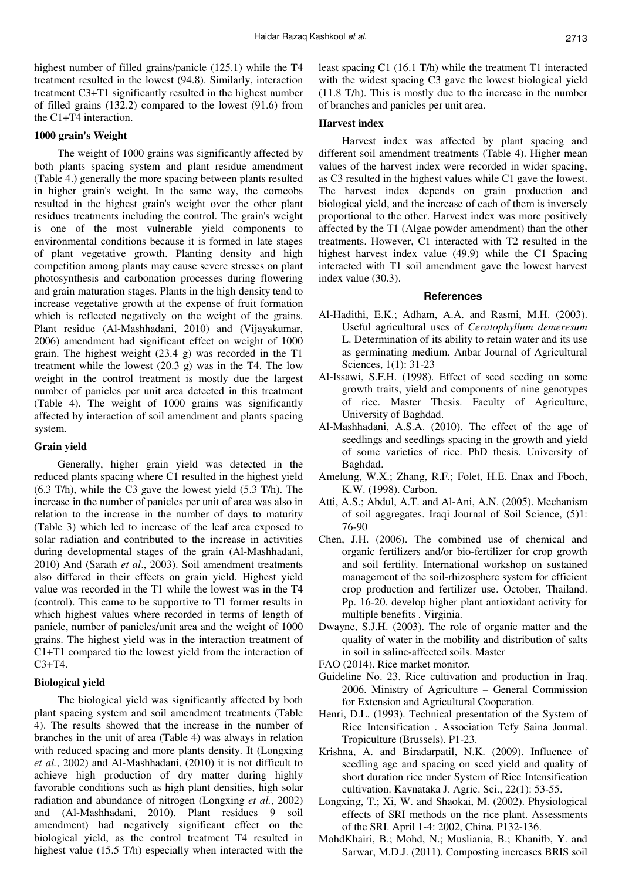highest number of filled grains/panicle (125.1) while the T4 treatment resulted in the lowest (94.8). Similarly, interaction treatment C3+T1 significantly resulted in the highest number of filled grains (132.2) compared to the lowest (91.6) from the C1+T4 interaction.

## **1000 grain's Weight**

The weight of 1000 grains was significantly affected by both plants spacing system and plant residue amendment (Table 4.) generally the more spacing between plants resulted in higher grain's weight. In the same way, the corncobs resulted in the highest grain's weight over the other plant residues treatments including the control. The grain's weight is one of the most vulnerable yield components to environmental conditions because it is formed in late stages of plant vegetative growth. Planting density and high competition among plants may cause severe stresses on plant photosynthesis and carbonation processes during flowering and grain maturation stages. Plants in the high density tend to increase vegetative growth at the expense of fruit formation which is reflected negatively on the weight of the grains. Plant residue (Al-Mashhadani, 2010) and (Vijayakumar, 2006) amendment had significant effect on weight of 1000 grain. The highest weight (23.4 g) was recorded in the T1 treatment while the lowest  $(20.3 \text{ g})$  was in the T4. The low weight in the control treatment is mostly due the largest number of panicles per unit area detected in this treatment (Table 4). The weight of 1000 grains was significantly affected by interaction of soil amendment and plants spacing system.

#### **Grain yield**

Generally, higher grain yield was detected in the reduced plants spacing where C1 resulted in the highest yield (6.3 T/h), while the C3 gave the lowest yield (5.3 T/h). The increase in the number of panicles per unit of area was also in relation to the increase in the number of days to maturity (Table 3) which led to increase of the leaf area exposed to solar radiation and contributed to the increase in activities during developmental stages of the grain (Al-Mashhadani, 2010) And (Sarath *et al*., 2003). Soil amendment treatments also differed in their effects on grain yield. Highest yield value was recorded in the T1 while the lowest was in the T4 (control). This came to be supportive to T1 former results in which highest values where recorded in terms of length of panicle, number of panicles/unit area and the weight of 1000 grains. The highest yield was in the interaction treatment of C1+T1 compared tio the lowest yield from the interaction of  $C3+T4$ .

### **Biological yield**

The biological yield was significantly affected by both plant spacing system and soil amendment treatments (Table 4). The results showed that the increase in the number of branches in the unit of area (Table 4) was always in relation with reduced spacing and more plants density. It (Longxing *et al.*, 2002) and Al-Mashhadani, (2010) it is not difficult to achieve high production of dry matter during highly favorable conditions such as high plant densities, high solar radiation and abundance of nitrogen (Longxing *et al.*, 2002) and (Al-Mashhadani, 2010). Plant residues 9 soil amendment) had negatively significant effect on the biological yield, as the control treatment T4 resulted in highest value (15.5 T/h) especially when interacted with the

least spacing C1 (16.1 T/h) while the treatment T1 interacted with the widest spacing C3 gave the lowest biological yield (11.8 T/h). This is mostly due to the increase in the number of branches and panicles per unit area.

#### **Harvest index**

Harvest index was affected by plant spacing and different soil amendment treatments (Table 4). Higher mean values of the harvest index were recorded in wider spacing, as C3 resulted in the highest values while C1 gave the lowest. The harvest index depends on grain production and biological yield, and the increase of each of them is inversely proportional to the other. Harvest index was more positively affected by the T1 (Algae powder amendment) than the other treatments. However, C1 interacted with T2 resulted in the highest harvest index value (49.9) while the C1 Spacing interacted with T1 soil amendment gave the lowest harvest index value (30.3).

#### **References**

- Al-Hadithi, E.K.; Adham, A.A. and Rasmi, M.H. (2003). Useful agricultural uses of *Ceratophyllum demeresum* L. Determination of its ability to retain water and its use as germinating medium. Anbar Journal of Agricultural Sciences, 1(1): 31-23
- Al-Issawi, S.F.H. (1998). Effect of seed seeding on some growth traits, yield and components of nine genotypes of rice. Master Thesis. Faculty of Agriculture, University of Baghdad.
- Al-Mashhadani, A.S.A. (2010). The effect of the age of seedlings and seedlings spacing in the growth and yield of some varieties of rice. PhD thesis. University of Baghdad.
- Amelung, W.X.; Zhang, R.F.; Folet, H.E. Enax and Fboch, K.W. (1998). Carbon.
- Atti, A.S.; Abdul, A.T. and Al-Ani, A.N. (2005). Mechanism of soil aggregates. Iraqi Journal of Soil Science, (5)1: 76-90
- Chen, J.H. (2006). The combined use of chemical and organic fertilizers and/or bio-fertilizer for crop growth and soil fertility. International workshop on sustained management of the soil-rhizosphere system for efficient crop production and fertilizer use. October, Thailand. Pp. 16-20. develop higher plant antioxidant activity for multiple benefits . Virginia.
- Dwayne, S.J.H. (2003). The role of organic matter and the quality of water in the mobility and distribution of salts in soil in saline-affected soils. Master
- FAO (2014). Rice market monitor.
- Guideline No. 23. Rice cultivation and production in Iraq. 2006. Ministry of Agriculture – General Commission for Extension and Agricultural Cooperation.
- Henri, D.L. (1993). Technical presentation of the System of Rice Intensification . Association Tefy Saina Journal. Tropiculture (Brussels). P1-23.
- Krishna, A. and Biradarpatil, N.K. (2009). Influence of seedling age and spacing on seed yield and quality of short duration rice under System of Rice Intensification cultivation. Kavnataka J. Agric. Sci., 22(1): 53-55.
- Longxing, T.; Xi, W. and Shaokai, M. (2002). Physiological effects of SRI methods on the rice plant. Assessments of the SRI. April 1-4: 2002, China. P132-136.
- MohdKhairi, B.; Mohd, N.; Musliania, B.; Khanifb, Y. and Sarwar, M.D.J. (2011). Composting increases BRIS soil